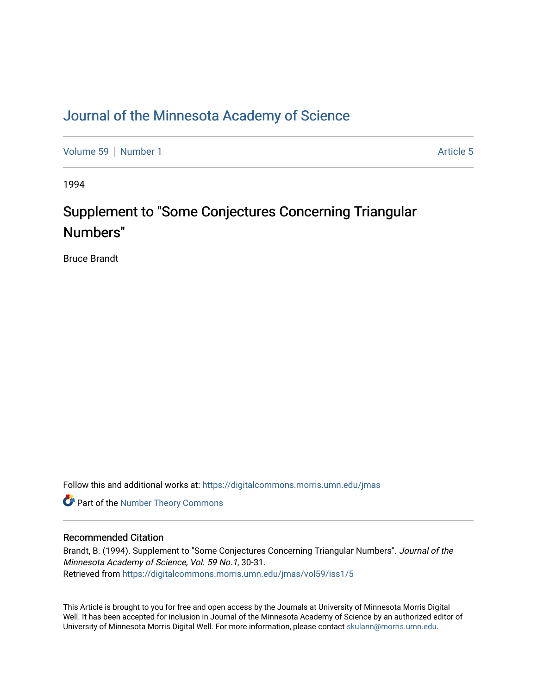## [Journal of the Minnesota Academy of Science](https://digitalcommons.morris.umn.edu/jmas)

[Volume 59](https://digitalcommons.morris.umn.edu/jmas/vol59) [Number 1](https://digitalcommons.morris.umn.edu/jmas/vol59/iss1) [Article 5](https://digitalcommons.morris.umn.edu/jmas/vol59/iss1/5) Number 1 Article 5 Number 1 Article 5 Number 1 Article 5 Number 1 Article 5 Number 1

1994

# Supplement to "Some Conjectures Concerning Triangular Numbers"

Bruce Brandt

Follow this and additional works at: [https://digitalcommons.morris.umn.edu/jmas](https://digitalcommons.morris.umn.edu/jmas?utm_source=digitalcommons.morris.umn.edu%2Fjmas%2Fvol59%2Fiss1%2F5&utm_medium=PDF&utm_campaign=PDFCoverPages) 

Part of the [Number Theory Commons](https://network.bepress.com/hgg/discipline/183?utm_source=digitalcommons.morris.umn.edu%2Fjmas%2Fvol59%2Fiss1%2F5&utm_medium=PDF&utm_campaign=PDFCoverPages) 

### Recommended Citation

Brandt, B. (1994). Supplement to "Some Conjectures Concerning Triangular Numbers". Journal of the Minnesota Academy of Science, Vol. 59 No.1, 30-31. Retrieved from [https://digitalcommons.morris.umn.edu/jmas/vol59/iss1/5](https://digitalcommons.morris.umn.edu/jmas/vol59/iss1/5?utm_source=digitalcommons.morris.umn.edu%2Fjmas%2Fvol59%2Fiss1%2F5&utm_medium=PDF&utm_campaign=PDFCoverPages)

This Article is brought to you for free and open access by the Journals at University of Minnesota Morris Digital Well. It has been accepted for inclusion in Journal of the Minnesota Academy of Science by an authorized editor of University of Minnesota Morris Digital Well. For more information, please contact [skulann@morris.umn.edu](mailto:skulann@morris.umn.edu).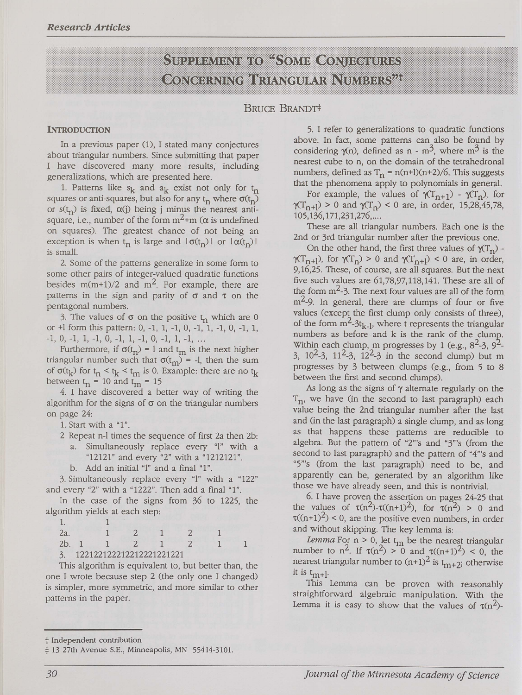*Research Articles* 

## Supperment to "Some Confectures CONGBRAING TRIANGULAR NUMBERS<sup>21</sup>

### BRUCE BRANDT#

#### **INTRODUCTION**

In a previous paper (1), I stated many conjectures about triangular numbers. Since submitting that paper I have discovered many more results, including generalizations, which are presented here.

1. Patterns like  $s_k$  and  $a_k$  exist not only for  $t_n$ squares or anti-squares, but also for any  $t_n$  where  $\sigma(t_n)$ or  $s(t_n)$  is fixed,  $\alpha(j)$  being j minus the nearest antisquare, i.e., number of the form  $m^2+m$  ( $\alpha$  is undefined on squares). The greatest chance of not being an exception is when  $t_n$  is large and  $\sigma(t_n)$  or  $\sigma(t_n)$  I is small.

2. Some of the patterns generalize in some form to some other pairs of integer-valued quadratic functions besides  $m(m+1)/2$  and  $m^2$ . For example, there are patterns in the sign and parity of  $\sigma$  and  $\tau$  on the pentagonal numbers.

3. The values of  $\sigma$  on the positive  $t_n$  which are 0 or  $+1$  form this pattern: 0,  $-1$ , 1,  $-1$ , 0,  $-1$ , 1,  $-1$ , 0,  $-1$ , 1,  $-1$ , 0,  $-1$ , 1,  $-1$ , 0,  $-1$ , 1,  $-1$ , 0,  $-1$ , 1,  $-1$ , ...

Furthermore, if  $\sigma(t_n) = 1$  and  $t_m$  is the next higher triangular number such that  $\sigma(t_m)$  = -1, then the sum of  $\sigma(t_k)$  for  $t_n < t_k < t_m$  is 0. Example: there are no  $t_k$ between  $t_n = 10$  and  $t_m = 15$ 

4. I have discovered a better way of writing the algorithm for the signs of  $\sigma$  on the triangular numbers on page 24:

1. Start with a "l".

- 2 Repeat n-1 times the sequence of first 2a then 2b: a. Simultaneously replace every "l" with a
	- "12121" and every "2" with a "1212121".
	- b. Add an initial "l" and a final "1".

3. Simultaneously replace every "l" with a "122" and every "2" with a "1222". Then add a final "1".

In the case of the signs from 36 to 1225, the algorithm yields at each step:

| 2 <sub>h</sub> |                          |  |  |  |  |  |  |
|----------------|--------------------------|--|--|--|--|--|--|
|                | 122122122212212221221221 |  |  |  |  |  |  |

This algorithm is equivalent to, but better than, the one I wrote because step 2 (the only one I changed) is simpler, more symmetric, and more similar to other patterns in the paper.

5. I refer to generalizations to quadratic functions above. In fact, some patterns can also be found by considering  $\gamma(n)$ , defined as n - m<sup>3</sup>, where m<sup>3</sup> is the nearest cube to n, on the domain of the tetrahedronal numbers, defined as  $T_n = n(n+1)(n+2)/6$ . This suggests that the phenomena apply to polynomials in general.

For example, the values of  $\gamma(T_{n+1})$  -  $\gamma(T_n)$ , for  $\gamma(T_{n+1}) > 0$  and  $\gamma(T_n) < 0$  are, in order, 15,28,45,78, 105,136, 171,231,276, ....

These are all triangular numbers. Each one is the 2nd or 3rd triangular number after the previous one.

On the other hand, the first three values of  $\gamma(T_n)$  - $\gamma(T_{n+1})$ , for  $\gamma(T_n) > 0$  and  $\gamma(T_{n+1}) < 0$  are, in order, 9, 16,25. These, of course, are all squares. But the next five such values are  $61,78,97,118,141$ . These are all of the form  $m^2$ -3. The next four values are all of the form  $m<sup>2</sup>$ -9. In general, there are clumps of four or five values (except the first clump only consists of three), of the form  $m^2-3t_{k-1}$ , where t represents the triangular numbers as before and k is the rank of the clump. Within each clump, m progresses by 1 (e.g.,  $8^2$ -3,  $9^2$ -3,  $10^2$ -3,  $11^2$ -3,  $12^2$ -3 in the second clump) but m progresses by 3 between clumps (e.g., from 5 to 8 between the first and second clumps).

As long as the signs of  $\gamma$  alternate regularly on the  $T_n$ , we have (in the second to last paragraph) each value being the 2nd triangular number after the last and (in the last paragraph) a single clump, and as long as that happens these patterns are reducible to algebra. But the pattern of "2"'s and "3"'s (from the second to last paragraph) and the pattern of "4"'s and "5"'s (from the last paragraph) need to be, and apparently can be, generated by an algorithm like those we have already seen, and this is nontrivial.

6. I have proven the assertion on pages 24-25 that the values of  $\tau(n^2)$ - $\tau((n+1)^2)$ , for  $\tau(n^2) > 0$  and  $\tau((n+1)^2)$  < 0, are the positive even numbers, in order and without skipping. The key lemma is:

Lemma For  $n > 0$ , let  $t_m$  be the nearest triangular number to  $n^2$ . If  $\tau(n^2) > 0$  and  $\tau((n+1)^2) < 0$ , the nearest triangular number to  $(n+1)^2$  is  $t_{m+2}$ ; otherwise it is  $t_{m+1}$ .

This Lemma can be proven with reasonably straightforward algebraic manipulation. With the Lemma it is easy to show that the values of  $\tau(n^2)$ -

t Independent contribution

t 13 27th Avenue S.E., Minneapolis, MN 55414-3101.